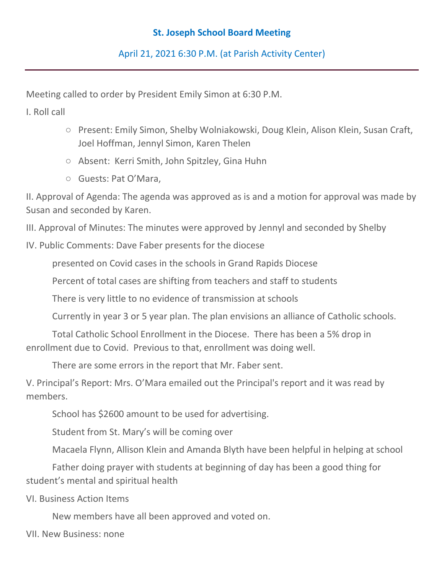## **St. Joseph School Board Meeting**

April 21, 2021 6:30 P.M. (at Parish Activity Center)

Meeting called to order by President Emily Simon at 6:30 P.M.

I. Roll call

- Present: Emily Simon, Shelby Wolniakowski, Doug Klein, Alison Klein, Susan Craft, Joel Hoffman, Jennyl Simon, Karen Thelen
- Absent: Kerri Smith, John Spitzley, Gina Huhn
- Guests: Pat O'Mara,

II. Approval of Agenda: The agenda was approved as is and a motion for approval was made by Susan and seconded by Karen.

III. Approval of Minutes: The minutes were approved by Jennyl and seconded by Shelby

IV. Public Comments: Dave Faber presents for the diocese

presented on Covid cases in the schools in Grand Rapids Diocese

Percent of total cases are shifting from teachers and staff to students

There is very little to no evidence of transmission at schools

Currently in year 3 or 5 year plan. The plan envisions an alliance of Catholic schools.

Total Catholic School Enrollment in the Diocese. There has been a 5% drop in enrollment due to Covid. Previous to that, enrollment was doing well.

There are some errors in the report that Mr. Faber sent.

V. Principal's Report: Mrs. O'Mara emailed out the Principal's report and it was read by members.

School has \$2600 amount to be used for advertising.

Student from St. Mary's will be coming over

Macaela Flynn, Allison Klein and Amanda Blyth have been helpful in helping at school

Father doing prayer with students at beginning of day has been a good thing for student's mental and spiritual health

VI. Business Action Items

New members have all been approved and voted on.

VII. New Business: none